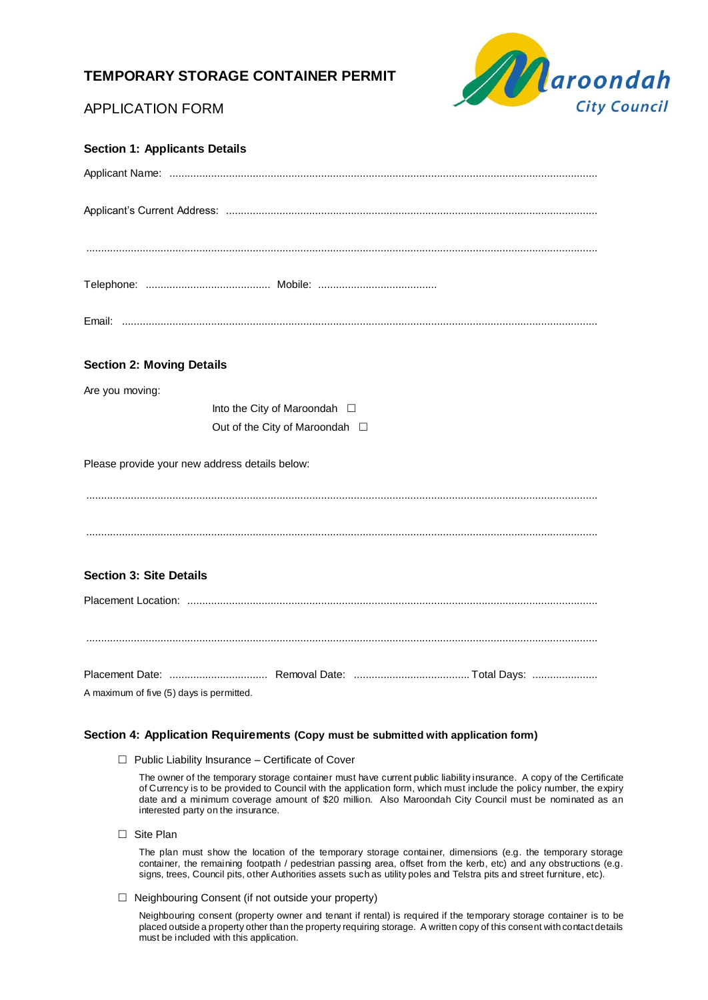# **TEMPORARY STORAGE CONTAINER PERMIT**



# APPLICATION FORM

| <b>Section 1: Applicants Details</b>           |
|------------------------------------------------|
|                                                |
|                                                |
|                                                |
|                                                |
|                                                |
| <b>Section 2: Moving Details</b>               |
| Are you moving:                                |
| Into the City of Maroondah $\Box$              |
| Out of the City of Maroondah □                 |
| Please provide your new address details below: |
|                                                |
|                                                |
| <b>Section 3: Site Details</b>                 |
|                                                |
|                                                |
|                                                |
| A maximum of five (5) days is permitted.       |

## **Section 4: Application Requirements (Copy must be submitted with application form)**

 $\Box$  Public Liability Insurance – Certificate of Cover

The owner of the temporary storage container must have current public liability insurance. A copy of the Certificate of Currency is to be provided to Council with the application form, which must include the policy number, the expiry date and a minimum coverage amount of \$20 million. Also Maroondah City Council must be nominated as an interested party on the insurance.

□ Site Plan

The plan must show the location of the temporary storage container, dimensions (e.g. the temporary storage container, the remaining footpath / pedestrian passing area, offset from the kerb, etc) and any obstructions (e.g. signs, trees, Council pits, other Authorities assets such as utility poles and Telstra pits and street furniture, etc).

 $\Box$  Neighbouring Consent (if not outside your property)

Neighbouring consent (property owner and tenant if rental) is required if the temporary storage container is to be placed outside a property other than the property requiring storage. A written copy of this consent with contact details must be included with this application.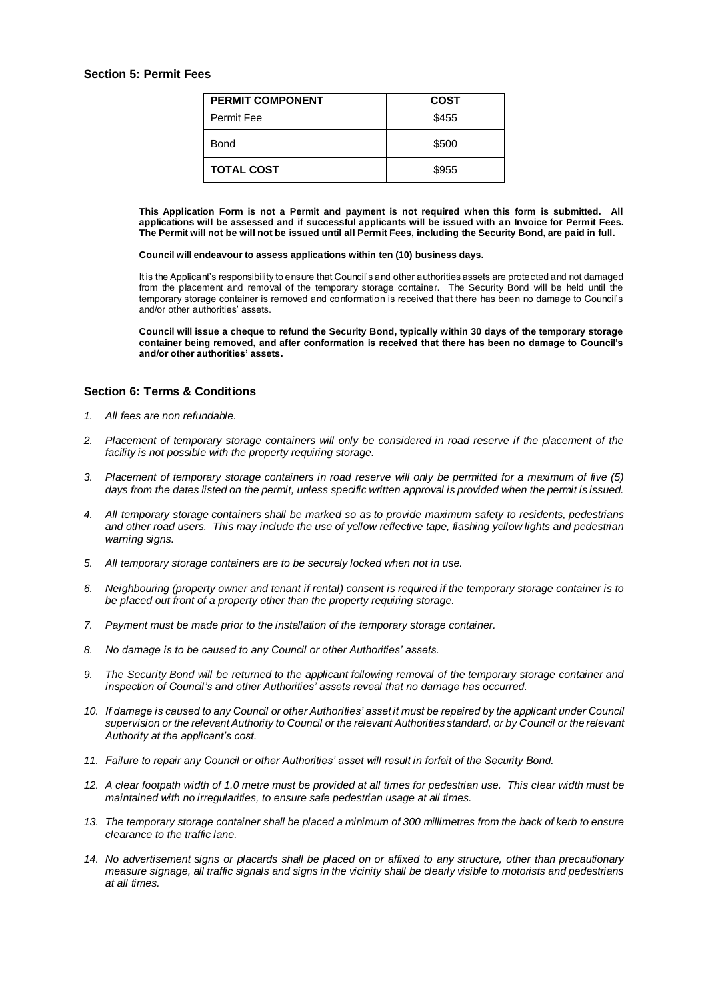## **Section 5: Permit Fees**

| <b>PERMIT COMPONENT</b> | <b>COST</b> |
|-------------------------|-------------|
| Permit Fee              | \$455       |
| Bond                    | \$500       |
| <b>TOTAL COST</b>       | \$955       |

**This Application Form is not a Permit and payment is not required when this form is submitted. All applications will be assessed and if successful applicants will be issued with an Invoice for Permit Fees. The Permit will not be will not be issued until all Permit Fees, including the Security Bond, are paid in full.**

#### **Council will endeavour to assess applications within ten (10) business days.**

It is the Applicant's responsibility to ensure that Council's and other authorities assets are protected and not damaged from the placement and removal of the temporary storage container. The Security Bond will be held until the temporary storage container is removed and conformation is received that there has been no damage to Council's and/or other authorities' assets.

**Council will issue a cheque to refund the Security Bond, typically within 30 days of the temporary storage container being removed, and after conformation is received that there has been no damage to Council's and/or other authorities' assets.**

## **Section 6: Terms & Conditions**

- *1. All fees are non refundable.*
- *2. Placement of temporary storage containers will only be considered in road reserve if the placement of the facility is not possible with the property requiring storage.*
- *3. Placement of temporary storage containers in road reserve will only be permitted for a maximum of five (5) days from the dates listed on the permit, unless specific written approval is provided when the permit is issued.*
- *4. All temporary storage containers shall be marked so as to provide maximum safety to residents, pedestrians and other road users. This may include the use of yellow reflective tape, flashing yellow lights and pedestrian warning signs.*
- *5. All temporary storage containers are to be securely locked when not in use.*
- *6. Neighbouring (property owner and tenant if rental) consent is required if the temporary storage container is to be placed out front of a property other than the property requiring storage.*
- *7. Payment must be made prior to the installation of the temporary storage container.*
- *8. No damage is to be caused to any Council or other Authorities' assets.*
- *9. The Security Bond will be returned to the applicant following removal of the temporary storage container and inspection of Council's and other Authorities' assets reveal that no damage has occurred.*
- *10. If damage is caused to any Council or other Authorities' asset it must be repaired by the applicant under Council supervision or the relevant Authority to Council or the relevant Authorities standard, or by Council or the relevant Authority at the applicant's cost.*
- *11. Failure to repair any Council or other Authorities' asset will result in forfeit of the Security Bond.*
- *12. A clear footpath width of 1.0 metre must be provided at all times for pedestrian use. This clear width must be maintained with no irregularities, to ensure safe pedestrian usage at all times.*
- *13. The temporary storage container shall be placed a minimum of 300 millimetres from the back of kerb to ensure clearance to the traffic lane.*
- *14. No advertisement signs or placards shall be placed on or affixed to any structure, other than precautionary measure signage, all traffic signals and signs in the vicinity shall be clearly visible to motorists and pedestrians at all times.*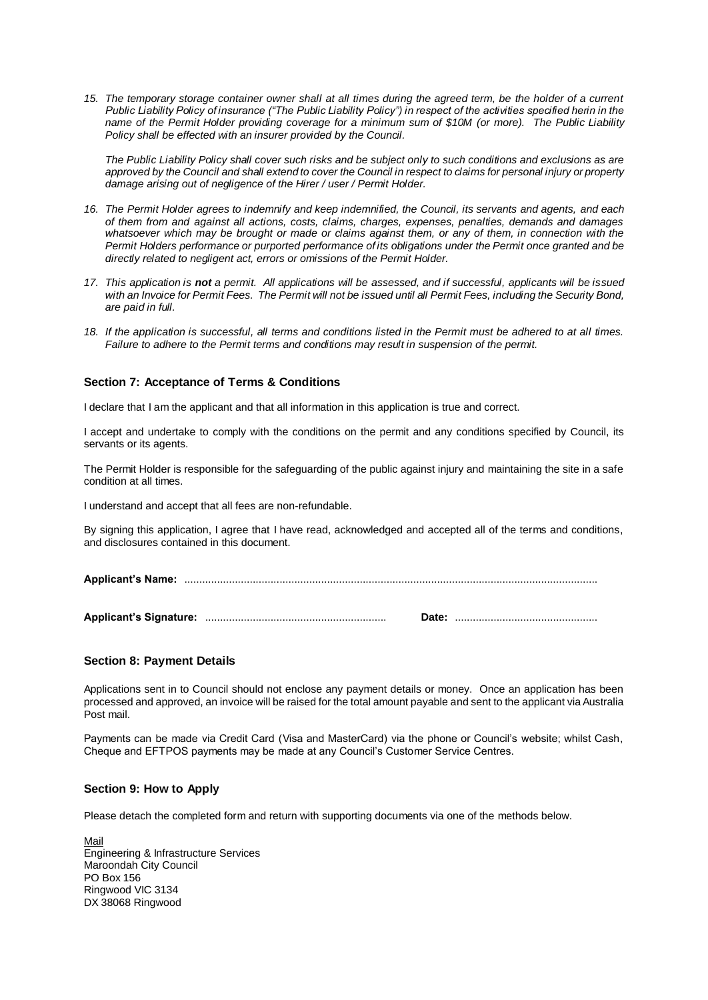*15. The temporary storage container owner shall at all times during the agreed term, be the holder of a current Public Liability Policy of insurance ("The Public Liability Policy") in respect of the activities specified herin in the name of the Permit Holder providing coverage for a minimum sum of \$10M (or more). The Public Liability Policy shall be effected with an insurer provided by the Council.*

*The Public Liability Policy shall cover such risks and be subject only to such conditions and exclusions as are approved by the Council and shall extend to cover the Council in respect to claims for personal injury or property damage arising out of negligence of the Hirer / user / Permit Holder.*

- *16. The Permit Holder agrees to indemnify and keep indemnified, the Council, its servants and agents, and each of them from and against all actions, costs, claims, charges, expenses, penalties, demands and damages whatsoever which may be brought or made or claims against them, or any of them, in connection with the Permit Holders performance or purported performance of its obligations under the Permit once granted and be directly related to negligent act, errors or omissions of the Permit Holder.*
- *17. This application is not a permit. All applications will be assessed, and if successful, applicants will be issued*  with an Invoice for Permit Fees. The Permit will not be issued until all Permit Fees, including the Security Bond, *are paid in full.*
- *18. If the application is successful, all terms and conditions listed in the Permit must be adhered to at all times. Failure to adhere to the Permit terms and conditions may result in suspension of the permit.*

## **Section 7: Acceptance of Terms & Conditions**

I declare that I am the applicant and that all information in this application is true and correct.

I accept and undertake to comply with the conditions on the permit and any conditions specified by Council, its servants or its agents.

The Permit Holder is responsible for the safeguarding of the public against injury and maintaining the site in a safe condition at all times.

I understand and accept that all fees are non-refundable.

By signing this application, I agree that I have read, acknowledged and accepted all of the terms and conditions, and disclosures contained in this document.

**Applicant's Name:** ...........................................................................................................................................

**Applicant's Signature:** ............................................................. **Date:** ................................................

### **Section 8: Payment Details**

Applications sent in to Council should not enclose any payment details or money. Once an application has been processed and approved, an invoice will be raised for the total amount payable and sent to the applicant via Australia Post mail.

Payments can be made via Credit Card (Visa and MasterCard) via the phone or Council's website; whilst Cash, Cheque and EFTPOS payments may be made at any Council's Customer Service Centres.

### **Section 9: How to Apply**

Please detach the completed form and return with supporting documents via one of the methods below.

Mail Engineering & Infrastructure Services Maroondah City Council PO Box 156 Ringwood VIC 3134 DX 38068 Ringwood